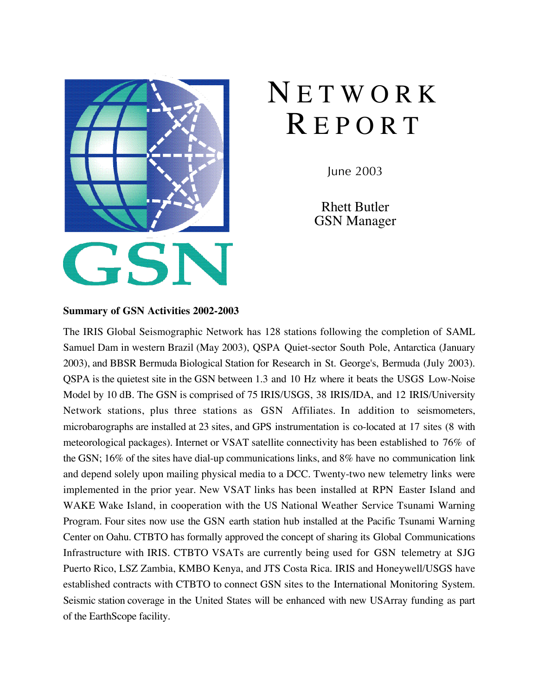

# **NETWORK** R E P O R T

June 2003

Rhett Butler GSN Manager

### **Summary of GSN Activities 2002-2003**

The IRIS Global Seismographic Network has 128 stations following the completion of SAML Samuel Dam in western Brazil (May 2003), QSPA Quiet-sector South Pole, Antarctica (January 2003), and BBSR Bermuda Biological Station for Research in St. George's, Bermuda (July 2003). QSPA is the quietest site in the GSN between 1.3 and 10 Hz where it beats the USGS Low-Noise Model by 10 dB. The GSN is comprised of 75 IRIS/USGS, 38 IRIS/IDA, and 12 IRIS/University Network stations, plus three stations as GSN Affiliates. In addition to seismometers, microbarographs are installed at 23 sites, and GPS instrumentation is co-located at 17 sites (8 with meteorological packages). Internet or VSAT satellite connectivity has been established to 76% of the GSN; 16% of the sites have dial-up communications links, and 8% have no communication link and depend solely upon mailing physical media to a DCC. Twenty-two new telemetry links were implemented in the prior year. New VSAT links has been installed at RPN Easter Island and WAKE Wake Island, in cooperation with the US National Weather Service Tsunami Warning Program. Four sites now use the GSN earth station hub installed at the Pacific Tsunami Warning Center on Oahu. CTBTO has formally approved the concept of sharing its Global Communications Infrastructure with IRIS. CTBTO VSATs are currently being used for GSN telemetry at SJG Puerto Rico, LSZ Zambia, KMBO Kenya, and JTS Costa Rica. IRIS and Honeywell/USGS have established contracts with CTBTO to connect GSN sites to the International Monitoring System. Seismic station coverage in the United States will be enhanced with new USArray funding as part of the EarthScope facility.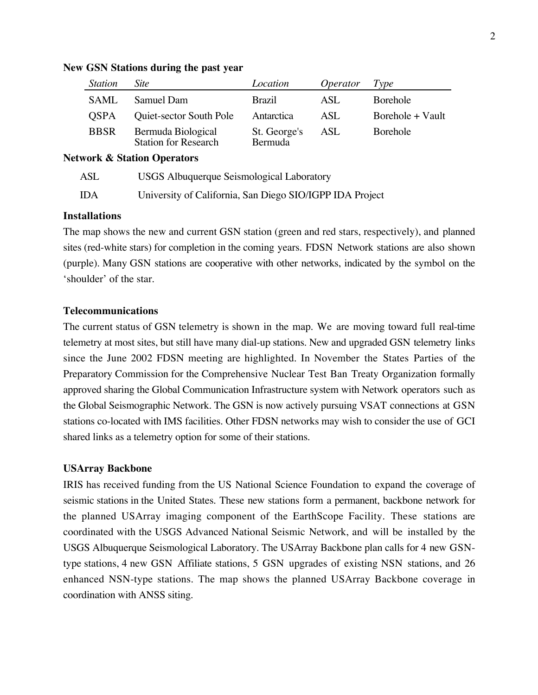| <b>Station</b> | <i>Site</i>                                       | Location                       | <i>Operator</i> | Type             |
|----------------|---------------------------------------------------|--------------------------------|-----------------|------------------|
| <b>SAML</b>    | Samuel Dam                                        | <b>Brazil</b>                  | ASL             | Borehole         |
| <b>OSPA</b>    | Quiet-sector South Pole                           | Antarctica                     | ASL             | Borehole + Vault |
| <b>BBSR</b>    | Bermuda Biological<br><b>Station for Research</b> | St. George's<br><b>Bermuda</b> | ASL             | Borehole         |

#### **New GSN Stations during the past year**

**Network & Station Operators**

| ASL   | <b>USGS</b> Albuquerque Seismological Laboratory         |
|-------|----------------------------------------------------------|
| - IDA | University of California, San Diego SIO/IGPP IDA Project |

# **Installations**

The map shows the new and current GSN station (green and red stars, respectively), and planned sites (red-white stars) for completion in the coming years. FDSN Network stations are also shown (purple). Many GSN stations are cooperative with other networks, indicated by the symbol on the 'shoulder' of the star.

# **Telecommunications**

The current status of GSN telemetry is shown in the map. We are moving toward full real-time telemetry at most sites, but still have many dial-up stations. New and upgraded GSN telemetry links since the June 2002 FDSN meeting are highlighted. In November the States Parties of the Preparatory Commission for the Comprehensive Nuclear Test Ban Treaty Organization formally approved sharing the Global Communication Infrastructure system with Network operators such as the Global Seismographic Network. The GSN is now actively pursuing VSAT connections at GSN stations co-located with IMS facilities. Other FDSN networks may wish to consider the use of GCI shared links as a telemetry option for some of their stations.

### **USArray Backbone**

IRIS has received funding from the US National Science Foundation to expand the coverage of seismic stations in the United States. These new stations form a permanent, backbone network for the planned USArray imaging component of the EarthScope Facility. These stations are coordinated with the USGS Advanced National Seismic Network, and will be installed by the USGS Albuquerque Seismological Laboratory. The USArray Backbone plan calls for 4 new GSNtype stations, 4 new GSN Affiliate stations, 5 GSN upgrades of existing NSN stations, and 26 enhanced NSN-type stations. The map shows the planned USArray Backbone coverage in coordination with ANSS siting.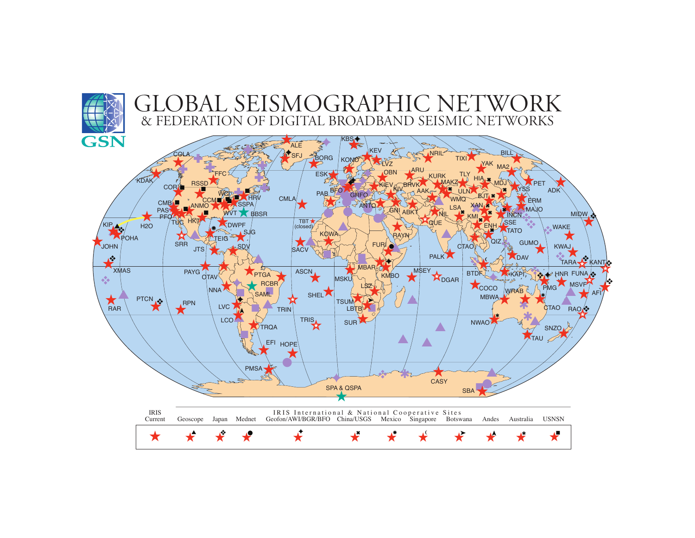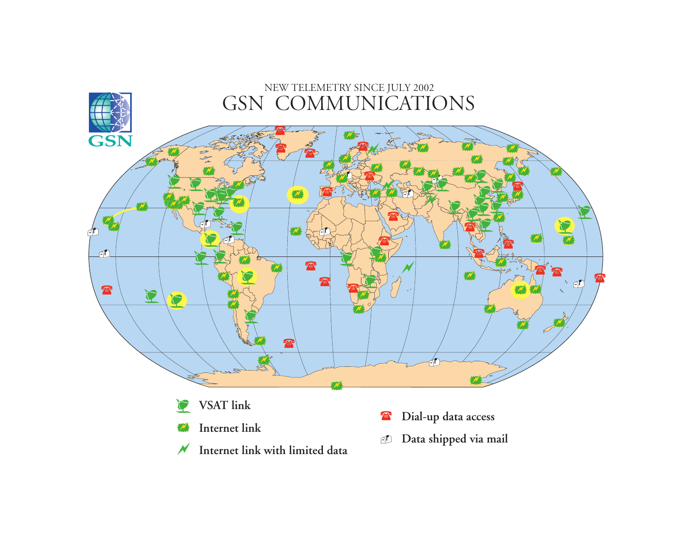